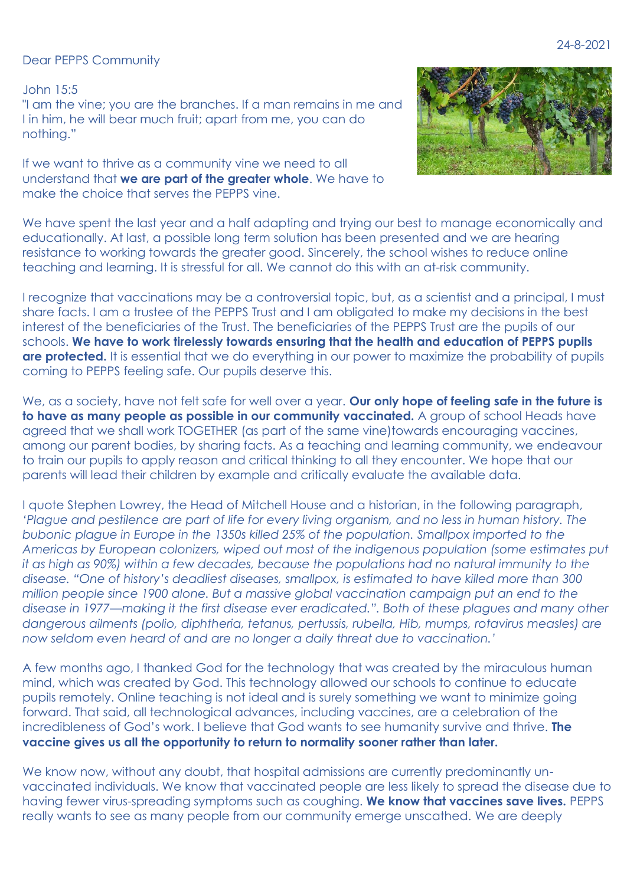Dear PEPPS Community

John 15:5 "I am the vine; you are the branches. If a man remains in me and I in him, he will bear much fruit; apart from me, you can do nothing."

If we want to thrive as a community vine we need to all understand that **we are part of the greater whole**. We have to make the choice that serves the PEPPS vine.



We have spent the last year and a half adapting and trying our best to manage economically and educationally. At last, a possible long term solution has been presented and we are hearing resistance to working towards the greater good. Sincerely, the school wishes to reduce online teaching and learning. It is stressful for all. We cannot do this with an at-risk community.

I recognize that vaccinations may be a controversial topic, but, as a scientist and a principal, I must share facts. I am a trustee of the PEPPS Trust and I am obligated to make my decisions in the best interest of the beneficiaries of the Trust. The beneficiaries of the PEPPS Trust are the pupils of our schools. **We have to work tirelessly towards ensuring that the health and education of PEPPS pupils are protected.** It is essential that we do everything in our power to maximize the probability of pupils coming to PEPPS feeling safe. Our pupils deserve this.

We, as a society, have not felt safe for well over a year. **Our only hope of feeling safe in the future is to have as many people as possible in our community vaccinated.** A group of school Heads have agreed that we shall work TOGETHER (as part of the same vine)towards encouraging vaccines, among our parent bodies, by sharing facts. As a teaching and learning community, we endeavour to train our pupils to apply reason and critical thinking to all they encounter. We hope that our parents will lead their children by example and critically evaluate the available data.

I quote Stephen Lowrey, the Head of Mitchell House and a historian, in the following paragraph, *'Plague and pestilence are part of life for every living organism, and no less in human history. The bubonic plague in Europe in the 1350s killed 25% of the population. Smallpox imported to the Americas by European colonizers, wiped out most of the indigenous population (some estimates put it as high as 90%) within a few decades, because the populations had no natural immunity to the disease. "One of history's deadliest diseases, smallpox, is estimated to have killed more than 300 million people since 1900 alone. But a massive global vaccination campaign put an end to the disease in 1977—making it the first disease ever eradicated.". Both of these plagues and many other dangerous ailments (polio, diphtheria, tetanus, pertussis, rubella, Hib, mumps, rotavirus measles) are now seldom even heard of and are no longer a daily threat due to vaccination.'* 

A few months ago, I thanked God for the technology that was created by the miraculous human mind, which was created by God. This technology allowed our schools to continue to educate pupils remotely. Online teaching is not ideal and is surely something we want to minimize going forward. That said, all technological advances, including vaccines, are a celebration of the incredibleness of God's work. I believe that God wants to see humanity survive and thrive. **The vaccine gives us all the opportunity to return to normality sooner rather than later.**

We know now, without any doubt, that hospital admissions are currently predominantly unvaccinated individuals. We know that vaccinated people are less likely to spread the disease due to having fewer virus-spreading symptoms such as coughing. **We know that vaccines save lives.** PEPPS really wants to see as many people from our community emerge unscathed. We are deeply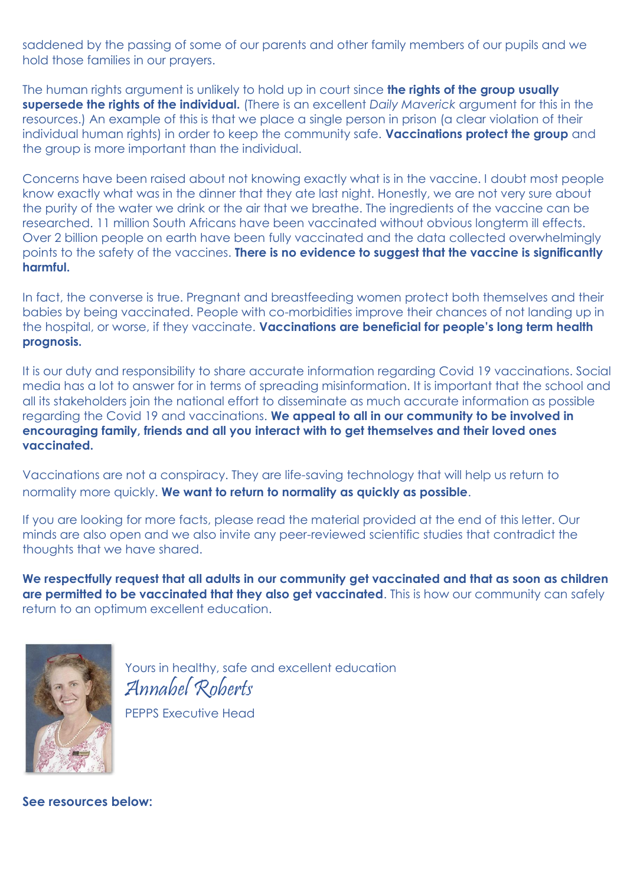saddened by the passing of some of our parents and other family members of our pupils and we hold those families in our prayers.

The human rights argument is unlikely to hold up in court since **the rights of the group usually supersede the rights of the individual.** (There is an excellent *Daily Maverick* argument for this in the resources.) An example of this is that we place a single person in prison (a clear violation of their individual human rights) in order to keep the community safe. **Vaccinations protect the group** and the group is more important than the individual.

Concerns have been raised about not knowing exactly what is in the vaccine. I doubt most people know exactly what was in the dinner that they ate last night. Honestly, we are not very sure about the purity of the water we drink or the air that we breathe. The ingredients of the vaccine can be researched. 11 million South Africans have been vaccinated without obvious longterm ill effects. Over 2 billion people on earth have been fully vaccinated and the data collected overwhelmingly points to the safety of the vaccines. **There is no evidence to suggest that the vaccine is significantly harmful.**

In fact, the converse is true. Pregnant and breastfeeding women protect both themselves and their babies by being vaccinated. People with co-morbidities improve their chances of not landing up in the hospital, or worse, if they vaccinate. **Vaccinations are beneficial for people's long term health prognosis.**

It is our duty and responsibility to share accurate information regarding Covid 19 vaccinations. Social media has a lot to answer for in terms of spreading misinformation. It is important that the school and all its stakeholders join the national effort to disseminate as much accurate information as possible regarding the Covid 19 and vaccinations. **We appeal to all in our community to be involved in encouraging family, friends and all you interact with to get themselves and their loved ones vaccinated.**

Vaccinations are not a conspiracy. They are life-saving technology that will help us return to normality more quickly. **We want to return to normality as quickly as possible**.

If you are looking for more facts, please read the material provided at the end of this letter. Our minds are also open and we also invite any peer-reviewed scientific studies that contradict the thoughts that we have shared.

**We respectfully request that all adults in our community get vaccinated and that as soon as children are permitted to be vaccinated that they also get vaccinated**. This is how our community can safely return to an optimum excellent education.



Yours in healthy, safe and excellent education Annabel Roberts PEPPS Executive Head

**See resources below:**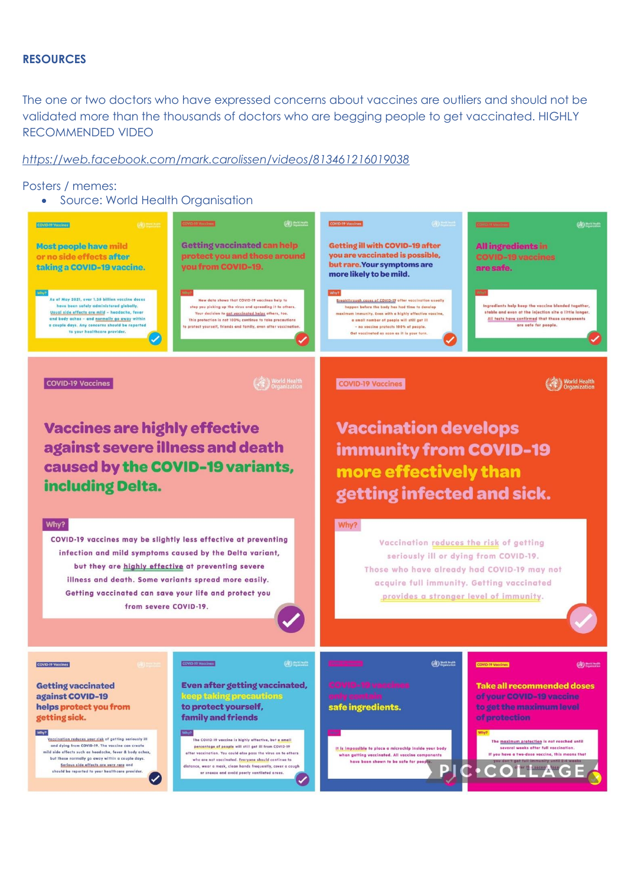## **RESOURCES**

The one or two doctors who have expressed concerns about vaccines are outliers and should not be validated more than the thousands of doctors who are begging people to get vaccinated. HIGHLY RECOMMENDED VIDEO

## *<https://web.facebook.com/mark.carolissen/videos/813461216019038>*

Posters / memes:

Source: World Health Organisation

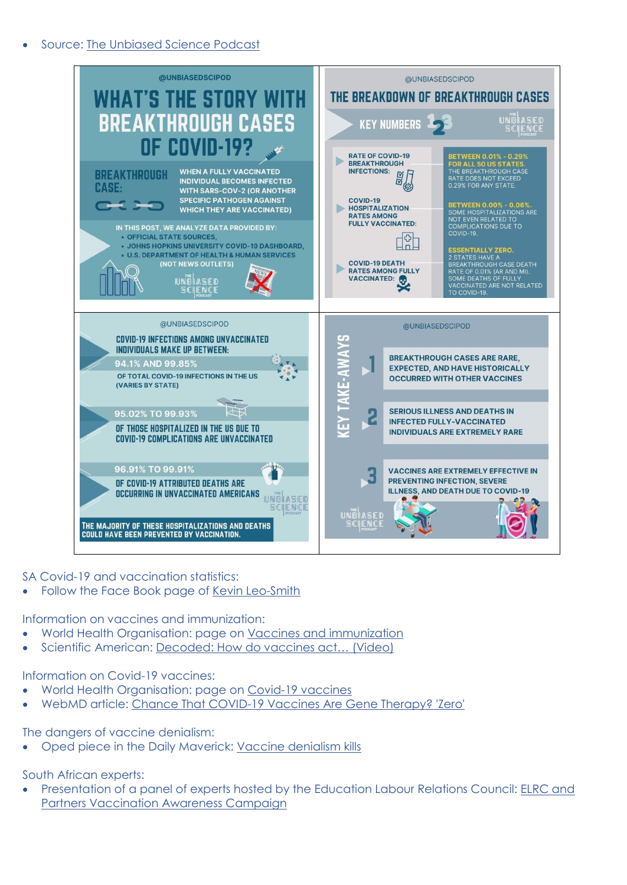

SA Covid-19 and vaccination statistics:

Follow the Face Book page of Kevin Leo-Smith

Information on vaccines and immunization:

- World Health Organisation: page on [Vaccines and immunization](https://www.who.int/health-topics/vaccines-and-immunization?adgroupsurvey=%7badgroupsurvey%7d&gclid=Cj0KCQjwu7OIBhCsARIsALxCUaOAQshWGg3Bo247BRz06LmQfkwbLuIW1Z5lU4TPGtkbmAXz3MYFgbUaAlE0EALw_wcB#tab=tab_1)
- Scientific American: [Decoded: How do vaccines act… \(Video\)](https://www.youtube.com/watch?v=GuYsVg20fwM)

Information on Covid-19 vaccines:

- World Health Organisation: page on [Covid-19 vaccines](https://www.who.int/emergencies/diseases/novel-coronavirus-2019/covid-19-vaccines)
- WebMD article: [Chance That COVID-19 Vaccines Are Gene Therapy? 'Zero'](https://www.webmd.com/lung/news/20210719/covid-19-vaccines-not-gene-therapy)

The dangers of vaccine denialism:

Oped piece in the Daily Maverick: [Vaccine denialism kills](https://www.dailymaverick.co.za/article/2021-08-10-vaccine-denialism-kills-mail-guardian-has-badly-let-down-its-readers/)

South African experts:

 Presentation of a panel of experts hosted by the Education Labour Relations Council: [ELRC and](https://www.youtube.com/watch?v=jTEkzbW_LIc)  [Partners Vaccination Awareness Campaign](https://www.youtube.com/watch?v=jTEkzbW_LIc)